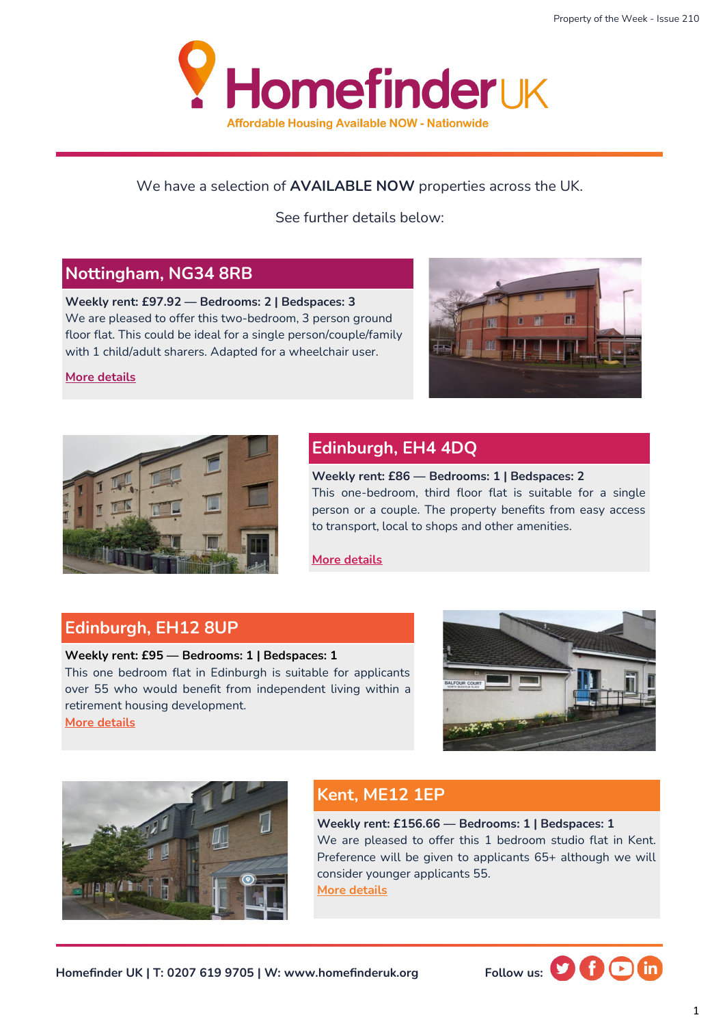

### We have a selection of **AVAILABLE NOW** properties across the UK.

See further details below:

# **Nottingham, NG34 8RB**

**Weekly rent: £97.92 — Bedrooms: 2 | Bedspaces: 3** We are pleased to offer this two-bedroom, 3 person ground floor flat. This could be ideal for a single person/couple/family with 1 child/adult sharers. Adapted for a wheelchair user.

**[More details](https://homefinderuk.org/property-detail/540333214-HF2001723)**





# **Edinburgh, EH4 4DQ**

**Weekly rent: £86 — Bedrooms: 1 | Bedspaces: 2** This one-bedroom, third floor flat is suitable for a single person or a couple. The property benefits from easy access to transport, local to shops and other amenities.

**[More details](https://homefinderuk.org/property-detail/538634061-HF2001668)**

## **Edinburgh, EH12 8UP**

#### **Weekly rent: £95 — Bedrooms: 1 | Bedspaces: 1**

This one bedroom flat in Edinburgh is suitable for applicants over 55 who would benefit from independent living within a retirement housing development. **[More details](https://homefinderuk.org/property-detail/539095125-HF2001689)**





# **Kent, ME12 1EP**

**Weekly rent: £156.66 — Bedrooms: 1 | Bedspaces: 1** We are pleased to offer this 1 bedroom studio flat in Kent. Preference will be given to applicants 65+ although we will consider younger applicants 55. **[More details](https://homefinderuk.org/property-detail/532066477-HF2001398)**